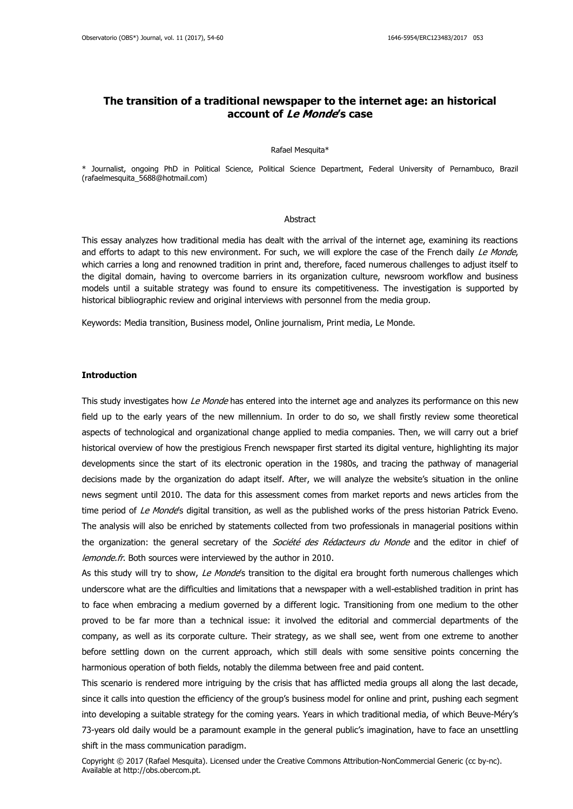# **The transition of a traditional newspaper to the internet age: an historical account of Le Monde's case**

#### Rafael Mesquita\*

\* Journalist, ongoing PhD in Political Science, Political Science Department, Federal University of Pernambuco, Brazil (rafaelmesquita\_5688@hotmail.com)

# **Abstract**

This essay analyzes how traditional media has dealt with the arrival of the internet age, examining its reactions and efforts to adapt to this new environment. For such, we will explore the case of the French daily Le Monde, which carries a long and renowned tradition in print and, therefore, faced numerous challenges to adjust itself to the digital domain, having to overcome barriers in its organization culture, newsroom workflow and business models until a suitable strategy was found to ensure its competitiveness. The investigation is supported by historical bibliographic review and original interviews with personnel from the media group.

Keywords: Media transition, Business model, Online journalism, Print media, Le Monde.

# **Introduction**

This study investigates how Le Monde has entered into the internet age and analyzes its performance on this new field up to the early years of the new millennium. In order to do so, we shall firstly review some theoretical aspects of technological and organizational change applied to media companies. Then, we will carry out a brief historical overview of how the prestigious French newspaper first started its digital venture, highlighting its major developments since the start of its electronic operation in the 1980s, and tracing the pathway of managerial decisions made by the organization do adapt itself. After, we will analyze the website's situation in the online news segment until 2010. The data for this assessment comes from market reports and news articles from the time period of Le Monde's digital transition, as well as the published works of the press historian Patrick Eveno. The analysis will also be enriched by statements collected from two professionals in managerial positions within the organization: the general secretary of the *Société des Rédacteurs du Monde* and the editor in chief of lemonde.fr. Both sources were interviewed by the author in 2010.

As this study will try to show, Le Monde's transition to the digital era brought forth numerous challenges which underscore what are the difficulties and limitations that a newspaper with a well-established tradition in print has to face when embracing a medium governed by a different logic. Transitioning from one medium to the other proved to be far more than a technical issue: it involved the editorial and commercial departments of the company, as well as its corporate culture. Their strategy, as we shall see, went from one extreme to another before settling down on the current approach, which still deals with some sensitive points concerning the harmonious operation of both fields, notably the dilemma between free and paid content.

This scenario is rendered more intriguing by the crisis that has afflicted media groups all along the last decade, since it calls into question the efficiency of the group's business model for online and print, pushing each segment into developing a suitable strategy for the coming years. Years in which traditional media, of which Beuve-Méry's 73-years old daily would be a paramount example in the general public's imagination, have to face an unsettling shift in the mass communication paradigm.

Copyright © 2017 (Rafael Mesquita). Licensed under the Creative Commons Attribution-NonCommercial Generic (cc by-nc). Available at http://obs.obercom.pt.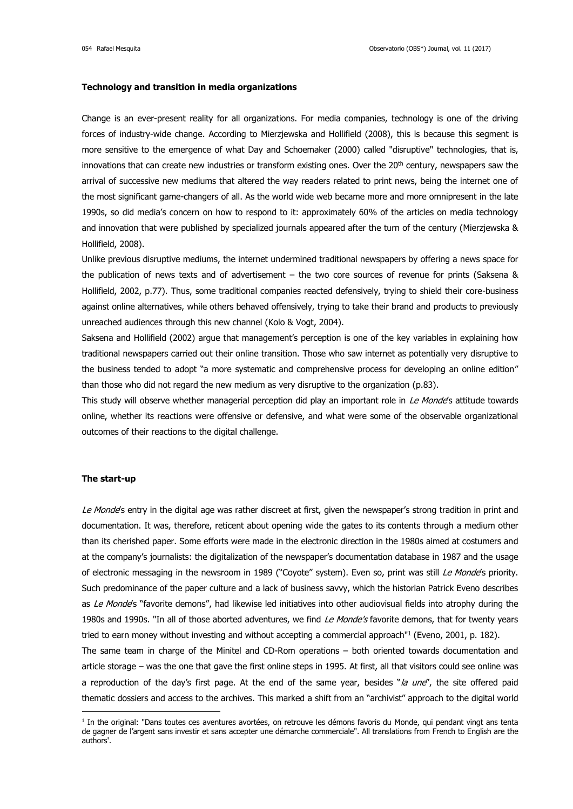### **Technology and transition in media organizations**

Change is an ever-present reality for all organizations. For media companies, technology is one of the driving forces of industry-wide change. According to Mierzjewska and Hollifield (2008), this is because this segment is more sensitive to the emergence of what Day and Schoemaker (2000) called "disruptive" technologies, that is, innovations that can create new industries or transform existing ones. Over the  $20<sup>th</sup>$  century, newspapers saw the arrival of successive new mediums that altered the way readers related to print news, being the internet one of the most significant game-changers of all. As the world wide web became more and more omnipresent in the late 1990s, so did media's concern on how to respond to it: approximately 60% of the articles on media technology and innovation that were published by specialized journals appeared after the turn of the century (Mierzjewska & Hollifield, 2008).

Unlike previous disruptive mediums, the internet undermined traditional newspapers by offering a news space for the publication of news texts and of advertisement – the two core sources of revenue for prints (Saksena & Hollifield, 2002, p.77). Thus, some traditional companies reacted defensively, trying to shield their core-business against online alternatives, while others behaved offensively, trying to take their brand and products to previously unreached audiences through this new channel (Kolo & Vogt, 2004).

Saksena and Hollifield (2002) argue that management's perception is one of the key variables in explaining how traditional newspapers carried out their online transition. Those who saw internet as potentially very disruptive to the business tended to adopt "a more systematic and comprehensive process for developing an online edition" than those who did not regard the new medium as very disruptive to the organization (p.83).

This study will observe whether managerial perception did play an important role in Le Monde's attitude towards online, whether its reactions were offensive or defensive, and what were some of the observable organizational outcomes of their reactions to the digital challenge.

## **The start-up**

<u>.</u>

Le Monde's entry in the digital age was rather discreet at first, given the newspaper's strong tradition in print and documentation. It was, therefore, reticent about opening wide the gates to its contents through a medium other than its cherished paper. Some efforts were made in the electronic direction in the 1980s aimed at costumers and at the company's journalists: the digitalization of the newspaper's documentation database in 1987 and the usage of electronic messaging in the newsroom in 1989 ("Coyote" system). Even so, print was still Le Monde's priority. Such predominance of the paper culture and a lack of business savvy, which the historian Patrick Eveno describes as Le Monde's "favorite demons", had likewise led initiatives into other audiovisual fields into atrophy during the 1980s and 1990s. "In all of those aborted adventures, we find Le Monde's favorite demons, that for twenty years tried to earn money without investing and without accepting a commercial approach" 1 (Eveno, 2001, p. 182).

The same team in charge of the Minitel and CD-Rom operations – both oriented towards documentation and article storage – was the one that gave the first online steps in 1995. At first, all that visitors could see online was a reproduction of the day's first page. At the end of the same year, besides "la une", the site offered paid thematic dossiers and access to the archives. This marked a shift from an "archivist" approach to the digital world

<sup>&</sup>lt;sup>1</sup> In the original: "Dans toutes ces aventures avortées, on retrouve les démons favoris du Monde, qui pendant vingt ans tenta de gagner de l'argent sans investir et sans accepter une démarche commerciale". All translations from French to English are the authors'.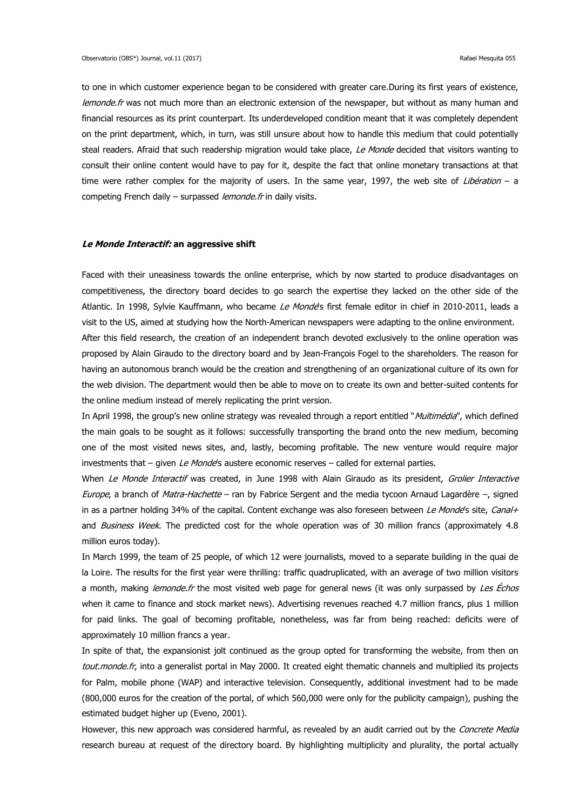to one in which customer experience began to be considered with greater care.During its first years of existence, lemonde.fr was not much more than an electronic extension of the newspaper, but without as many human and financial resources as its print counterpart. Its underdeveloped condition meant that it was completely dependent on the print department, which, in turn, was still unsure about how to handle this medium that could potentially steal readers. Afraid that such readership migration would take place, Le Monde decided that visitors wanting to consult their online content would have to pay for it, despite the fact that online monetary transactions at that time were rather complex for the majority of users. In the same year, 1997, the web site of Libération – a competing French daily – surpassed *lemonde.fr* in daily visits.

#### **Le Monde Interactif: an aggressive shift**

Faced with their uneasiness towards the online enterprise, which by now started to produce disadvantages on competitiveness, the directory board decides to go search the expertise they lacked on the other side of the Atlantic. In 1998, Sylvie Kauffmann, who became Le Monde's first female editor in chief in 2010-2011, leads a visit to the US, aimed at studying how the North-American newspapers were adapting to the online environment. After this field research, the creation of an independent branch devoted exclusively to the online operation was proposed by Alain Giraudo to the directory board and by Jean-François Fogel to the shareholders. The reason for having an autonomous branch would be the creation and strengthening of an organizational culture of its own for the web division. The department would then be able to move on to create its own and better-suited contents for the online medium instead of merely replicating the print version.

In April 1998, the group's new online strategy was revealed through a report entitled "Multimédia", which defined the main goals to be sought as it follows: successfully transporting the brand onto the new medium, becoming one of the most visited news sites, and, lastly, becoming profitable. The new venture would require major investments that  $-$  given Le Monde's austere economic reserves  $-$  called for external parties.

When Le Monde Interactif was created, in June 1998 with Alain Giraudo as its president, Grolier Interactive Europe, a branch of Matra-Hachette – ran by Fabrice Sergent and the media tycoon Arnaud Lagardère –, signed in as a partner holding 34% of the capital. Content exchange was also foreseen between Le Monde's site, Canal+ and Business Week. The predicted cost for the whole operation was of 30 million francs (approximately 4.8 million euros today).

In March 1999, the team of 25 people, of which 12 were journalists, moved to a separate building in the quai de la Loire. The results for the first year were thrilling: traffic quadruplicated, with an average of two million visitors a month, making lemonde.fr the most visited web page for general news (it was only surpassed by Les Échos when it came to finance and stock market news). Advertising revenues reached 4.7 million francs, plus 1 million for paid links. The goal of becoming profitable, nonetheless, was far from being reached: deficits were of approximately 10 million francs a year.

In spite of that, the expansionist jolt continued as the group opted for transforming the website, from then on tout.monde.fr, into a generalist portal in May 2000. It created eight thematic channels and multiplied its projects for Palm, mobile phone (WAP) and interactive television. Consequently, additional investment had to be made (800,000 euros for the creation of the portal, of which 560,000 were only for the publicity campaign), pushing the estimated budget higher up (Eveno, 2001).

However, this new approach was considered harmful, as revealed by an audit carried out by the Concrete Media research bureau at request of the directory board. By highlighting multiplicity and plurality, the portal actually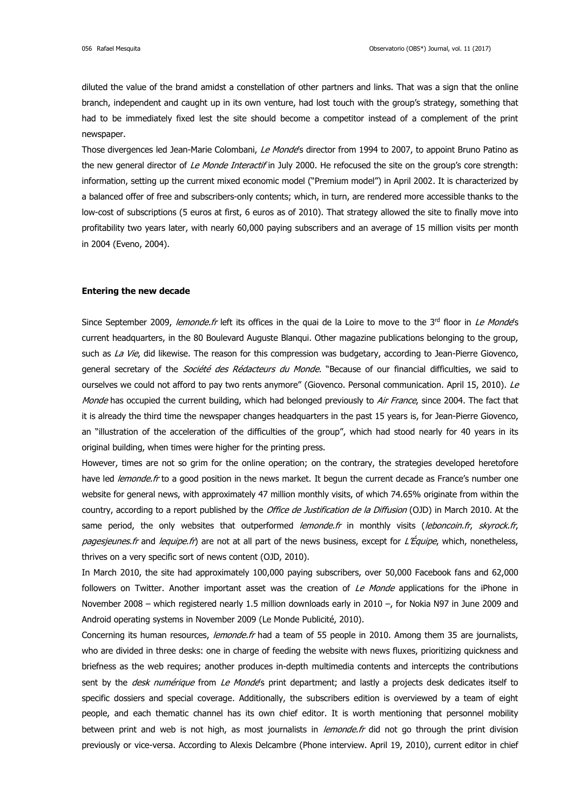diluted the value of the brand amidst a constellation of other partners and links. That was a sign that the online branch, independent and caught up in its own venture, had lost touch with the group's strategy, something that had to be immediately fixed lest the site should become a competitor instead of a complement of the print newspaper.

Those divergences led Jean-Marie Colombani, Le Monde's director from 1994 to 2007, to appoint Bruno Patino as the new general director of Le Monde Interactif in July 2000. He refocused the site on the group's core strength: information, setting up the current mixed economic model ("Premium model") in April 2002. It is characterized by a balanced offer of free and subscribers-only contents; which, in turn, are rendered more accessible thanks to the low-cost of subscriptions (5 euros at first, 6 euros as of 2010). That strategy allowed the site to finally move into profitability two years later, with nearly 60,000 paying subscribers and an average of 15 million visits per month in 2004 (Eveno, 2004).

#### **Entering the new decade**

Since September 2009, lemonde.fr left its offices in the quai de la Loire to move to the  $3^{rd}$  floor in Le Monde's current headquarters, in the 80 Boulevard Auguste Blanqui. Other magazine publications belonging to the group, such as La Vie, did likewise. The reason for this compression was budgetary, according to Jean-Pierre Giovenco, general secretary of the *Société des Rédacteurs du Monde*. "Because of our financial difficulties, we said to ourselves we could not afford to pay two rents anymore" (Giovenco. Personal communication. April 15, 2010). Le Monde has occupied the current building, which had belonged previously to Air France, since 2004. The fact that it is already the third time the newspaper changes headquarters in the past 15 years is, for Jean-Pierre Giovenco, an "illustration of the acceleration of the difficulties of the group", which had stood nearly for 40 years in its original building, when times were higher for the printing press.

However, times are not so grim for the online operation; on the contrary, the strategies developed heretofore have led *lemonde.fr* to a good position in the news market. It begun the current decade as France's number one website for general news, with approximately 47 million monthly visits, of which 74.65% originate from within the country, according to a report published by the Office de Justification de la Diffusion (OJD) in March 2010. At the same period, the only websites that outperformed lemonde.fr in monthly visits (leboncoin.fr, skyrock.fr, pagesjeunes.fr and lequipe.fr) are not at all part of the news business, except for L'Équipe, which, nonetheless, thrives on a very specific sort of news content (OJD, 2010).

In March 2010, the site had approximately 100,000 paying subscribers, over 50,000 Facebook fans and 62,000 followers on Twitter. Another important asset was the creation of Le Monde applications for the iPhone in November 2008 – which registered nearly 1.5 million downloads early in 2010 –, for Nokia N97 in June 2009 and Android operating systems in November 2009 (Le Monde Publicité, 2010).

Concerning its human resources, lemonde.fr had a team of 55 people in 2010. Among them 35 are journalists, who are divided in three desks: one in charge of feeding the website with news fluxes, prioritizing quickness and briefness as the web requires; another produces in-depth multimedia contents and intercepts the contributions sent by the *desk numérique* from Le Monde's print department; and lastly a projects desk dedicates itself to specific dossiers and special coverage. Additionally, the subscribers edition is overviewed by a team of eight people, and each thematic channel has its own chief editor. It is worth mentioning that personnel mobility between print and web is not high, as most journalists in lemonde.fr did not go through the print division previously or vice-versa. According to Alexis Delcambre (Phone interview. April 19, 2010), current editor in chief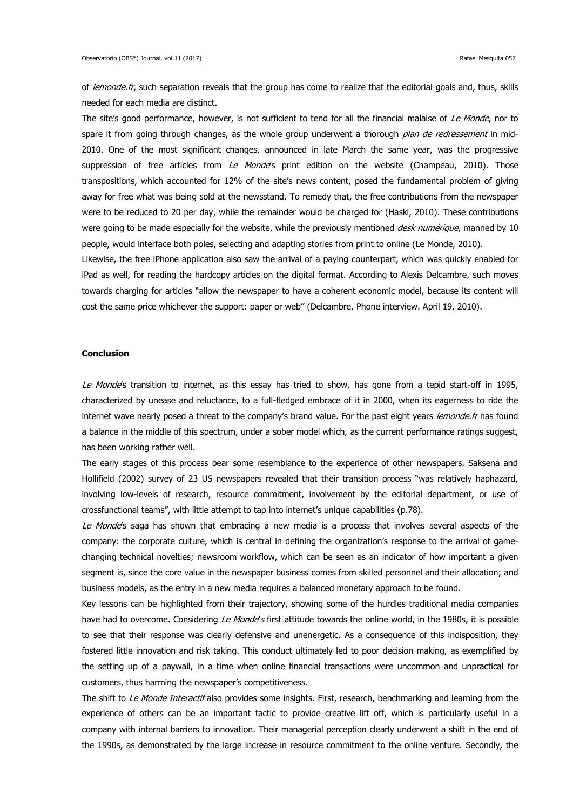of lemonde.fr, such separation reveals that the group has come to realize that the editorial goals and, thus, skills needed for each media are distinct.

The site's good performance, however, is not sufficient to tend for all the financial malaise of Le Monde, nor to spare it from going through changes, as the whole group underwent a thorough *plan de redressement* in mid-2010. One of the most significant changes, announced in late March the same year, was the progressive suppression of free articles from Le Monde's print edition on the website (Champeau, 2010). Those transpositions, which accounted for 12% of the site's news content, posed the fundamental problem of giving away for free what was being sold at the newsstand. To remedy that, the free contributions from the newspaper were to be reduced to 20 per day, while the remainder would be charged for (Haski, 2010). These contributions were going to be made especially for the website, while the previously mentioned *desk numérique*, manned by 10 people, would interface both poles, selecting and adapting stories from print to online (Le Monde, 2010).

Likewise, the free iPhone application also saw the arrival of a paying counterpart, which was quickly enabled for iPad as well, for reading the hardcopy articles on the digital format. According to Alexis Delcambre, such moves towards charging for articles "allow the newspaper to have a coherent economic model, because its content will cost the same price whichever the support: paper or web" (Delcambre. Phone interview. April 19, 2010).

# **Conclusion**

Le Monde's transition to internet, as this essay has tried to show, has gone from a tepid start-off in 1995, characterized by unease and reluctance, to a full-fledged embrace of it in 2000, when its eagerness to ride the internet wave nearly posed a threat to the company's brand value. For the past eight years lemonde.fr has found a balance in the middle of this spectrum, under a sober model which, as the current performance ratings suggest, has been working rather well.

The early stages of this process bear some resemblance to the experience of other newspapers. Saksena and Hollifield (2002) survey of 23 US newspapers revealed that their transition process "was relatively haphazard, involving low-levels of research, resource commitment, involvement by the editorial department, or use of crossfunctional teams", with little attempt to tap into internet's unique capabilities (p.78).

Le Monde's saga has shown that embracing a new media is a process that involves several aspects of the company: the corporate culture, which is central in defining the organization's response to the arrival of gamechanging technical novelties; newsroom workflow, which can be seen as an indicator of how important a given segment is, since the core value in the newspaper business comes from skilled personnel and their allocation; and business models, as the entry in a new media requires a balanced monetary approach to be found.

Key lessons can be highlighted from their trajectory, showing some of the hurdles traditional media companies have had to overcome. Considering Le Monde's first attitude towards the online world, in the 1980s, it is possible to see that their response was clearly defensive and unenergetic. As a consequence of this indisposition, they fostered little innovation and risk taking. This conduct ultimately led to poor decision making, as exemplified by the setting up of a paywall, in a time when online financial transactions were uncommon and unpractical for customers, thus harming the newspaper's competitiveness.

The shift to Le Monde Interactif also provides some insights. First, research, benchmarking and learning from the experience of others can be an important tactic to provide creative lift off, which is particularly useful in a company with internal barriers to innovation. Their managerial perception clearly underwent a shift in the end of the 1990s, as demonstrated by the large increase in resource commitment to the online venture. Secondly, the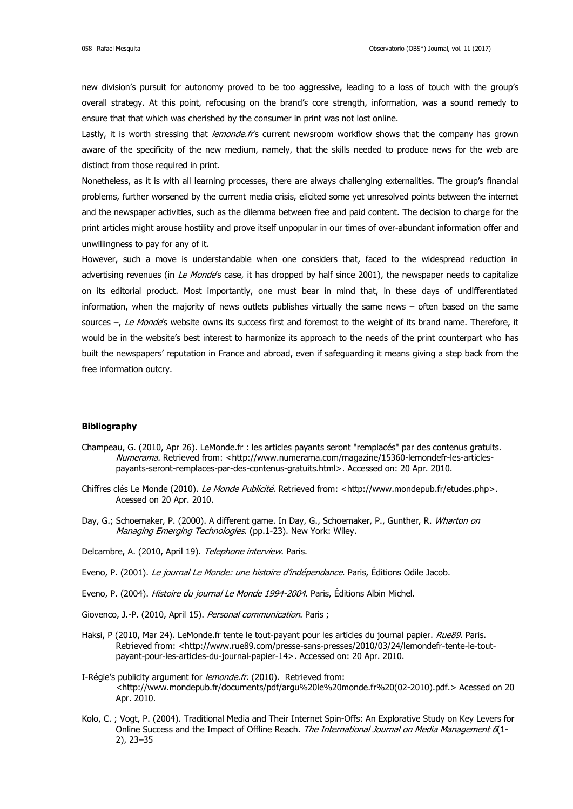new division's pursuit for autonomy proved to be too aggressive, leading to a loss of touch with the group's overall strategy. At this point, refocusing on the brand's core strength, information, was a sound remedy to ensure that that which was cherished by the consumer in print was not lost online.

Lastly, it is worth stressing that *lemonde.fr's* current newsroom workflow shows that the company has grown aware of the specificity of the new medium, namely, that the skills needed to produce news for the web are distinct from those required in print.

Nonetheless, as it is with all learning processes, there are always challenging externalities. The group's financial problems, further worsened by the current media crisis, elicited some yet unresolved points between the internet and the newspaper activities, such as the dilemma between free and paid content. The decision to charge for the print articles might arouse hostility and prove itself unpopular in our times of over-abundant information offer and unwillingness to pay for any of it.

However, such a move is understandable when one considers that, faced to the widespread reduction in advertising revenues (in Le Monde's case, it has dropped by half since 2001), the newspaper needs to capitalize on its editorial product. Most importantly, one must bear in mind that, in these days of undifferentiated information, when the majority of news outlets publishes virtually the same news – often based on the same sources –, Le Monde's website owns its success first and foremost to the weight of its brand name. Therefore, it would be in the website's best interest to harmonize its approach to the needs of the print counterpart who has built the newspapers' reputation in France and abroad, even if safeguarding it means giving a step back from the free information outcry.

# **Bibliography**

- Champeau, G. (2010, Apr 26). LeMonde.fr : les articles payants seront "remplacés" par des contenus gratuits. Numerama. Retrieved from: [<http://www.numerama.com/magazine/15360-lemondefr-les-articles](http://www.numerama.com/magazine/15360-lemondefr-les-articles-payants-seront-remplaces-par-des-contenus-gratuits.html)[payants-seront-remplaces-par-des-contenus-gratuits.html>](http://www.numerama.com/magazine/15360-lemondefr-les-articles-payants-seront-remplaces-par-des-contenus-gratuits.html). Accessed on: 20 Apr. 2010.
- Chiffres clés Le Monde (2010). Le Monde Publicité. Retrieved from: [<http://www.mondepub.fr/etudes.php>](http://www.mondepub.fr/etudes.php). Acessed on 20 Apr. 2010.
- Day, G.; Schoemaker, P. (2000). A different game. In Day, G., Schoemaker, P., Gunther, R. Wharton on Managing Emerging Technologies. (pp.1-23). New York: Wiley.
- Delcambre, A. (2010, April 19). Telephone interview. Paris.
- Eveno, P. (2001). Le journal Le Monde: une histoire d'indépendance. Paris, Éditions Odile Jacob.
- Eveno, P. (2004). Histoire du journal Le Monde 1994-2004. Paris, Éditions Albin Michel.
- Giovenco, J.-P. (2010, April 15). Personal communication. Paris ;
- Haksi, P (2010, Mar 24). LeMonde.fr tente le tout-payant pour les articles du journal papier. Rue89. Paris. Retrieved from: [<http://www.rue89.com/presse-sans-presses/2010/03/24/lemondefr-tente-le-tout](http://www.rue89.com/presse-sans-presses/2010/03/24/lemondefr-tente-le-tout-payant-pour-les-articles-du-journal-papier-14)[payant-pour-les-articles-du-journal-papier-14>](http://www.rue89.com/presse-sans-presses/2010/03/24/lemondefr-tente-le-tout-payant-pour-les-articles-du-journal-papier-14). Accessed on: 20 Apr. 2010.
- I-Régie's publicity argument for *lemonde.fr.* (2010). Retrieved from: [<http://www.mondepub.fr/documents/pdf/argu%20le%20monde.fr%20\(02-2010\).pdf.](http://www.mondepub.fr/documents/pdf/argu%20le%20monde.fr%20(02-2010).pdf)> Acessed on 20 Apr. 2010.
- Kolo, C. ; Vogt, P. (2004). Traditional Media and Their Internet Spin-Offs: An Explorative Study on Key Levers for Online Success and the Impact of Offline Reach. The International Journal on Media Management 6(1-2), 23–35